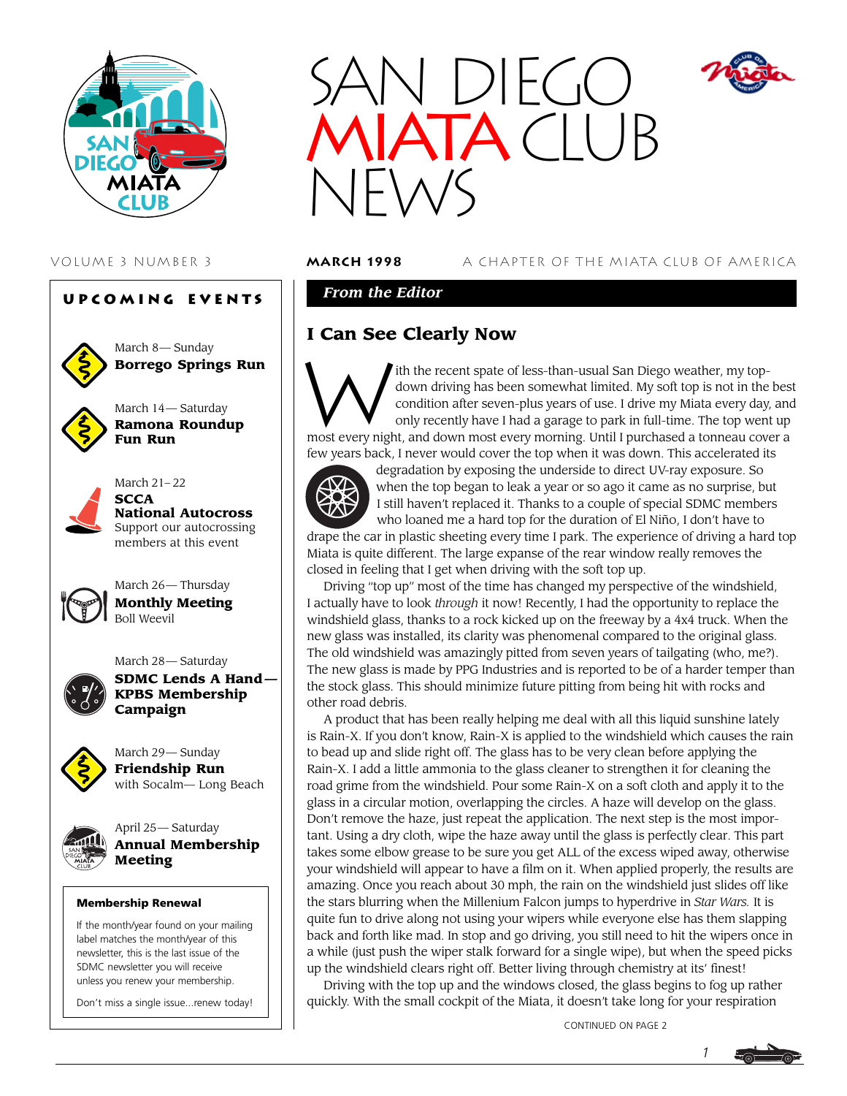





March 8— Sunday **Borrego Springs Run**





March 21– 22 **SCCA National Autocross** Support our autocrossing members at this event



March 26— Thursday **Monthly Meeting** Boll Weevil

March 28— Saturday



**SDMC Lends A Hand — KPBS Membership Campaign**



March 29— Sunday **Friendship Run** with Socalm— Long Beach



April 25— Saturday **Annual Membership Meeting**

### Membership Renewal

If the month/year found on your mailing label matches the month/year of this newsletter, this is the last issue of the SDMC newsletter you will receive unless you renew your membership.

Don't miss a single issue...renew today!



VOLUME 3 NUMBER 3 **march 1998** A CHAPTER OF THE MIATA CLUB OF AMERICA

### *From the Editor*

# **I Can See Clearly Now**



ith the recent spate of less-than-usual San Diego weather, my topdown driving has been somewhat limited. My soft top is not in the best condition after seven-plus years of use. I drive my Miata every day, and only recently have I had a garage to park in full-time. The top went up most every night, and down most every morning. Until I purchased a tonneau cover a few years back, I never would cover the top when it was down. This accelerated its



degradation by exposing the underside to direct UV-ray exposure. So when the top began to leak a year or so ago it came as no surprise, but I still haven't replaced it. Thanks to a couple of special SDMC members who loaned me a hard top for the duration of El Niño, I don't have to

drape the car in plastic sheeting every time I park. The experience of driving a hard top Miata is quite different. The large expanse of the rear window really removes the closed in feeling that I get when driving with the soft top up.

Driving "top up" most of the time has changed my perspective of the windshield, I actually have to look *through* it now! Recently, I had the opportunity to replace the windshield glass, thanks to a rock kicked up on the freeway by a 4x4 truck. When the new glass was installed, its clarity was phenomenal compared to the original glass. The old windshield was amazingly pitted from seven years of tailgating (who, me?). The new glass is made by PPG Industries and is reported to be of a harder temper than the stock glass. This should minimize future pitting from being hit with rocks and other road debris.

A product that has been really helping me deal with all this liquid sunshine lately is Rain-X. If you don't know, Rain-X is applied to the windshield which causes the rain to bead up and slide right off. The glass has to be very clean before applying the Rain-X. I add a little ammonia to the glass cleaner to strengthen it for cleaning the road grime from the windshield. Pour some Rain-X on a soft cloth and apply it to the glass in a circular motion, overlapping the circles. A haze will develop on the glass. Don't remove the haze, just repeat the application. The next step is the most important. Using a dry cloth, wipe the haze away until the glass is perfectly clear. This part takes some elbow grease to be sure you get ALL of the excess wiped away, otherwise your windshield will appear to have a film on it. When applied properly, the results are amazing. Once you reach about 30 mph, the rain on the windshield just slides off like the stars blurring when the Millenium Falcon jumps to hyperdrive in *Star Wars.* It is quite fun to drive along not using your wipers while everyone else has them slapping back and forth like mad. In stop and go driving, you still need to hit the wipers once in a while (just push the wiper stalk forward for a single wipe), but when the speed picks up the windshield clears right off. Better living through chemistry at its' finest!

Driving with the top up and the windows closed, the glass begins to fog up rather quickly. With the small cockpit of the Miata, it doesn't take long for your respiration

CONTINUED ON PAGE 2

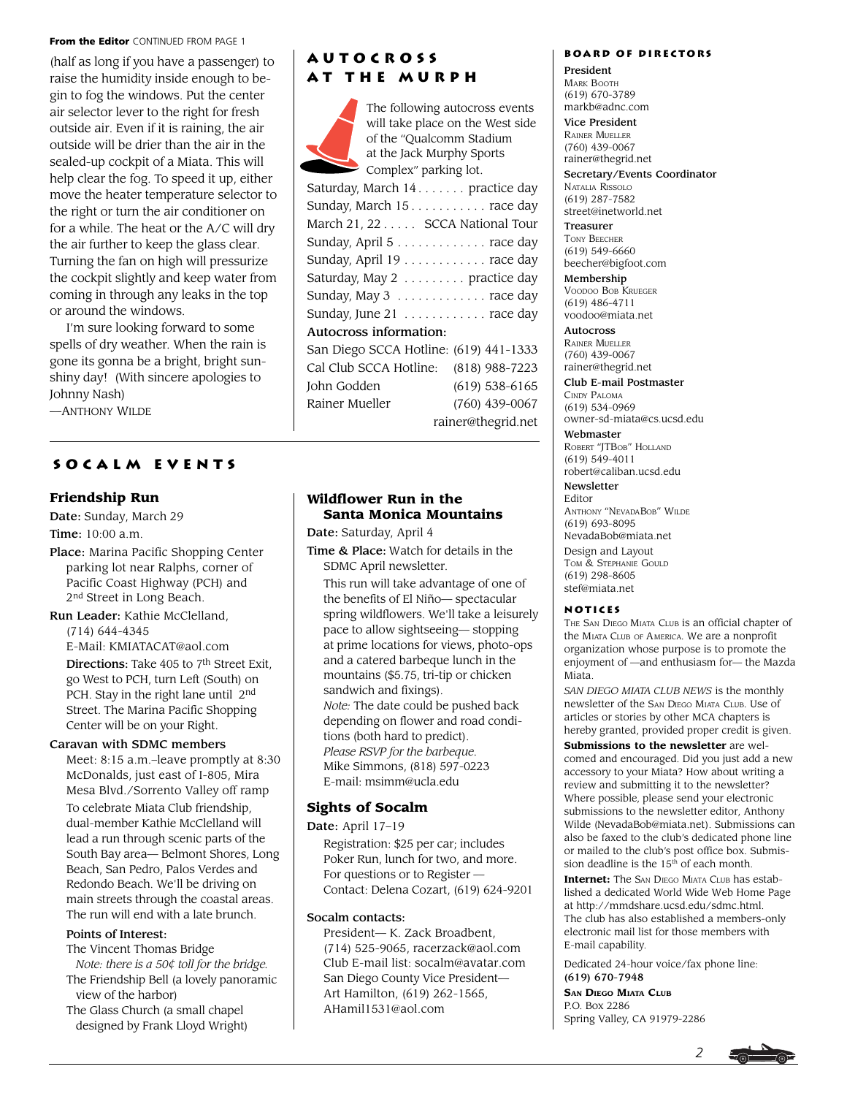#### From the Editor CONTINUED FROM PAGE 1

(half as long if you have a passenger) to raise the humidity inside enough to begin to fog the windows. Put the center air selector lever to the right for fresh outside air. Even if it is raining, the air outside will be drier than the air in the sealed-up cockpit of a Miata. This will help clear the fog. To speed it up, either move the heater temperature selector to the right or turn the air conditioner on for a while. The heat or the A/C will dry the air further to keep the glass clear. Turning the fan on high will pressurize the cockpit slightly and keep water from coming in through any leaks in the top or around the windows.

I'm sure looking forward to some spells of dry weather. When the rain is gone its gonna be a bright, bright sunshiny day! (With sincere apologies to Johnny Nash)

—ANTHONY WILDE

### **Socalm events**

### **Friendship Run**

Date: Sunday, March 29

Time: 10:00 a.m.

Place: Marina Pacific Shopping Center parking lot near Ralphs, corner of Pacific Coast Highway (PCH) and 2<sup>nd</sup> Street in Long Beach.

Run Leader: Kathie McClelland, (714) 644-4345

E-Mail: KMIATACAT@aol.com

Directions: Take 405 to 7<sup>th</sup> Street Exit, go West to PCH, turn Left (South) on PCH. Stay in the right lane until 2<sup>nd</sup> Street. The Marina Pacific Shopping Center will be on your Right.

### Caravan with SDMC members

Meet: 8:15 a.m.–leave promptly at 8:30 McDonalds, just east of I-805, Mira Mesa Blvd./Sorrento Valley off ramp

To celebrate Miata Club friendship, dual-member Kathie McClelland will lead a run through scenic parts of the South Bay area— Belmont Shores, Long Beach, San Pedro, Palos Verdes and Redondo Beach. We'll be driving on main streets through the coastal areas. The run will end with a late brunch.

### Points of Interest:

The Vincent Thomas Bridge

 *Note: there is a 50¢ toll for the bridge.* The Friendship Bell (a lovely panoramic

 view of the harbor) The Glass Church (a small chapel designed by Frank Lloyd Wright)

## **Autocross at the Murph**

The following autocross events will take place on the West side of the "Qualcomm Stadium at the Jack Murphy Sports Complex" parking lot. Saturday, March 14. . . . . . . practice day Sunday, March 15 . . . . . . . . . . . race day March 21, 22 . . . . . SCCA National Tour Sunday, April 5 . . . . . . . . . . . . . race day Sunday, April 19 . . . . . . . . . . . . race day Saturday, May 2 . . . . . . . . . practice day Sunday, May 3 . . . . . . . . . . . . . race day Sunday, June 21 . . . . . . . . . . . . race day Autocross information: San Diego SCCA Hotline: (619) 441-1333 Cal Club SCCA Hotline: (818) 988-7223 John Godden (619) 538-6165 Rainer Mueller (760) 439-0067 rainer@thegrid.net

### **Wildflower Run in the Santa Monica Mountains**

Date: Saturday, April 4

Time & Place: Watch for details in the SDMC April newsletter.

This run will take advantage of one of the benefits of El Niño— spectacular spring wildflowers. We'll take a leisurely pace to allow sightseeing— stopping at prime locations for views, photo-ops and a catered barbeque lunch in the mountains (\$5.75, tri-tip or chicken sandwich and fixings). *Note:* The date could be pushed back depending on flower and road conditions (both hard to predict). *Please RSVP for the barbeque*. Mike Simmons, (818) 597-0223 E-mail: msimm@ucla.edu

### **Sights of Socalm**

Date: April 17-19

Registration: \$25 per car; includes Poker Run, lunch for two, and more. For questions or to Register — Contact: Delena Cozart, (619) 624-9201

### Socalm contacts:

President— K. Zack Broadbent, (714) 525-9065, racerzack@aol.com Club E-mail list: socalm@avatar.com San Diego County Vice President— Art Hamilton, (619) 262-1565, AHamil1531@aol.com

### **Board of Directors**

President MARK BOOTH (619) 670-3789 markb@adnc.com Vice President

RAINER MUELLER (760) 439-0067

rainer@thegrid.net Secretary/Events Coordinator NATALIA RISSOLO (619) 287-7582 street@inetworld.net

Treasurer TONY BEECHER (619) 549-6660 beecher@bigfoot.com

Membership VOODOO BOB KRUEGER (619) 486-4711 voodoo@miata.net

Autocross RAINER MUELLER (760) 439-0067 rainer@thegrid.net

Club E-mail Postmaster CINDY PALOMA (619) 534-0969 owner-sd-miata@cs.ucsd.edu

Webmaster ROBERT "JTBOB" HOLLAND (619) 549-4011 robert@caliban.ucsd.edu

Newsletter

Editor ANTHONY "NEVADABOB" WILDE (619) 693-8095 NevadaBob@miata.net

Design and Layout TOM & STEPHANIE GOULD (619) 298-8605 stef@miata.net

### **Notices**

THE SAN DIEGO MIATA CLUB is an official chapter of the MIATA CLUB OF AMERICA. We are a nonprofit organization whose purpose is to promote the enjoyment of —and enthusiasm for— the Mazda Miata.

*SAN DIEGO MIATA CLUB NEWS* is the monthly newsletter of the SAN DIEGO MIATA CLUB. Use of articles or stories by other MCA chapters is hereby granted, provided proper credit is given.

**Submissions to the newsletter** are welcomed and encouraged. Did you just add a new accessory to your Miata? How about writing a review and submitting it to the newsletter? Where possible, please send your electronic submissions to the newsletter editor, Anthony Wilde (NevadaBob@miata.net). Submissions can also be faxed to the club's dedicated phone line or mailed to the club's post office box. Submission deadline is the  $15<sup>th</sup>$  of each month.

**Internet:** The SAN DIEGO MIATA CLUB has established a dedicated World Wide Web Home Page at http://mmdshare.ucsd.edu/sdmc.html. The club has also established a members-only electronic mail list for those members with E-mail capability.

Dedicated 24-hour voice/fax phone line: (619) 670-7948

**SAN DIEGO MIATA CLUB** P.O. Box 2286 Spring Valley, CA 91979-2286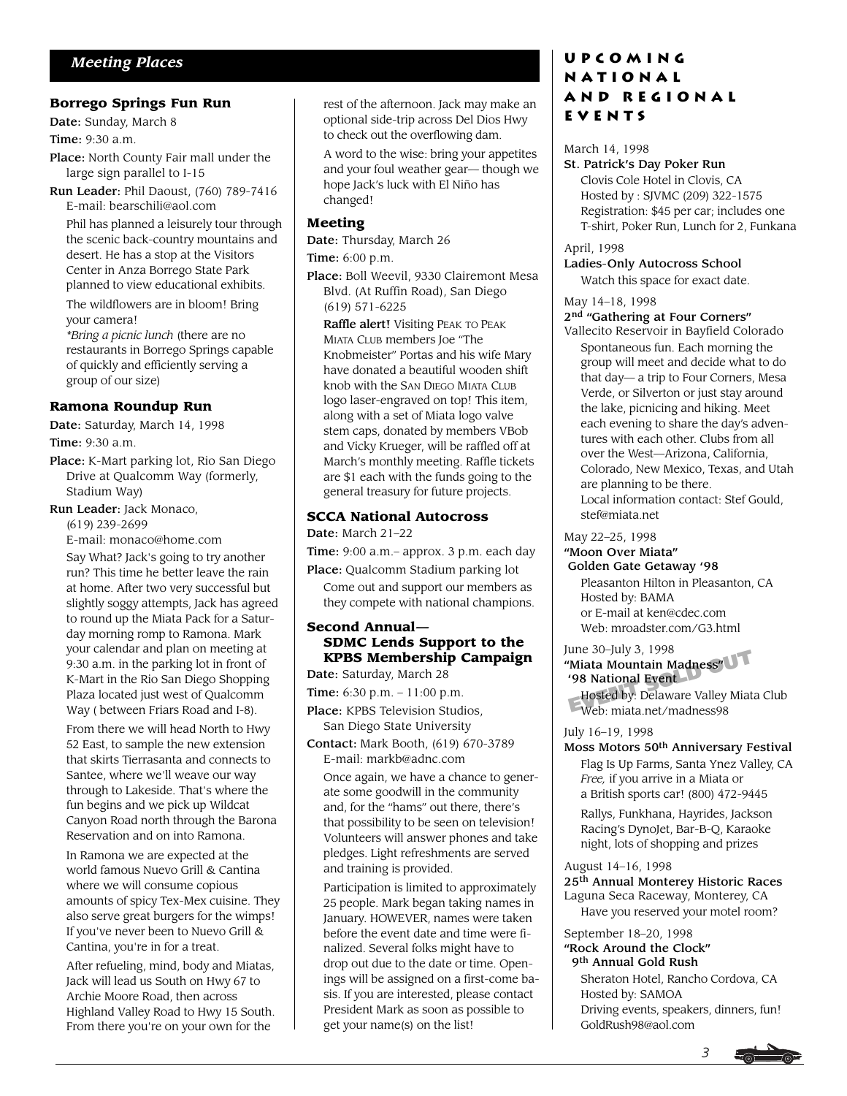### **Borrego Springs Fun Run**

Date: Sunday, March 8

Time: 9:30 a.m.

Place: North County Fair mall under the large sign parallel to I-15

Run Leader: Phil Daoust, (760) 789-7416 E-mail: bearschili@aol.com

Phil has planned a leisurely tour through the scenic back-country mountains and desert. He has a stop at the Visitors Center in Anza Borrego State Park planned to view educational exhibits.

The wildflowers are in bloom! Bring your camera!

*\*Bring a picnic lunch* (there are no restaurants in Borrego Springs capable of quickly and efficiently serving a group of our size)

### **Ramona Roundup Run**

Date: Saturday, March 14, 1998

Time: 9:30 a.m.

Place: K-Mart parking lot, Rio San Diego Drive at Qualcomm Way (formerly, Stadium Way)

Run Leader: Jack Monaco,

(619) 239-2699

E-mail: monaco@home.com

Say What? Jack's going to try another run? This time he better leave the rain at home. After two very successful but slightly soggy attempts, Jack has agreed to round up the Miata Pack for a Saturday morning romp to Ramona. Mark your calendar and plan on meeting at 9:30 a.m. in the parking lot in front of K-Mart in the Rio San Diego Shopping Plaza located just west of Qualcomm Way ( between Friars Road and I-8).

From there we will head North to Hwy 52 East, to sample the new extension that skirts Tierrasanta and connects to Santee, where we'll weave our way through to Lakeside. That's where the fun begins and we pick up Wildcat Canyon Road north through the Barona Reservation and on into Ramona.

In Ramona we are expected at the world famous Nuevo Grill & Cantina where we will consume copious amounts of spicy Tex-Mex cuisine. They also serve great burgers for the wimps! If you've never been to Nuevo Grill & Cantina, you're in for a treat.␣

After refueling, mind, body and Miatas, Jack will lead us South on Hwy 67 to Archie Moore Road, then across Highland Valley Road to Hwy 15 South. From there you're on your own for the

rest of the afternoon. Jack may make an optional side-trip across Del Dios Hwy to check out the overflowing dam.

A word to the wise: bring your appetites and your foul weather gear— though we hope Jack's luck with El Niño has changed!

### **Meeting**

Date: Thursday, March 26

Time: 6:00 p.m.

Place: Boll Weevil, 9330 Clairemont Mesa Blvd. (At Ruffin Road), San Diego (619) 571-6225

Raffle alert! Visiting PEAK TO PEAK MIATA CLUB members Joe "The Knobmeister" Portas and his wife Mary have donated a beautiful wooden shift knob with the SAN DIEGO MIATA CLUB logo laser-engraved on top! This item, along with a set of Miata logo valve stem caps, donated by members VBob and Vicky Krueger, will be raffled off at March's monthly meeting. Raffle tickets are \$1 each with the funds going to the general treasury for future projects.

### **SCCA National Autocross**

Date: March 21–22

Time: 9:00 a.m.– approx. 3 p.m. each day

Place: Qualcomm Stadium parking lot Come out and support our members as they compete with national champions.

### **Second Annual— SDMC Lends Support to the KPBS Membership Campaign**

Date: Saturday, March 28

Time: 6:30 p.m. - 11:00 p.m.

Place: KPBS Television Studios, San Diego State University

Contact: Mark Booth, (619) 670-3789 E-mail: markb@adnc.com

Once again, we have a chance to generate some goodwill in the community and, for the "hams" out there, there's that possibility to be seen on television! Volunteers will answer phones and take pledges. Light refreshments are served and training is provided.

Participation is limited to approximately 25 people. Mark began taking names in January. HOWEVER, names were taken before the event date and time were finalized. Several folks might have to drop out due to the date or time. Openings will be assigned on a first-come basis. If you are interested, please contact President Mark as soon as possible to get your name(s) on the list!

# **Upcoming National and Regional Events**

### March 14, 1998

### St. Patrick's Day Poker Run

Clovis Cole Hotel in Clovis, CA Hosted by : SJVMC (209) 322-1575 Registration: \$45 per car; includes one T-shirt, Poker Run, Lunch for 2, Funkana

April, 1998

### Ladies-Only Autocross School

Watch this space for exact date.

### May 14–18, 1998

2<sup>nd</sup> "Gathering at Four Corners" Vallecito Reservoir in Bayfield Colorado Spontaneous fun. Each morning the group will meet and decide what to do that day— a trip to Four Corners, Mesa Verde, or Silverton or just stay around the lake, picnicing and hiking. Meet each evening to share the day's adventures with each other. Clubs from all over the West—Arizona, California, Colorado, New Mexico, Texas, and Utah are planning to be there. Local information contact: Stef Gould, stef@miata.net

### May 22–25, 1998

"Moon Over Miata"

### Golden Gate Getaway '98

Pleasanton Hilton in Pleasanton, CA Hosted by: BAMA or E-mail at ken@cdec.com Web: mroadster.com/G3.html

# June 30–July 3, 1998<br>
"Miata Mountain Madness"<br>
'98 National Event<br>
Hosted by: Delaware Valley Miat<br>
Web: miata net/madness98 "Miata Mountain Madness" '98 National Event

Hosted by: Delaware Valley Miata Club Web: miata.net/madness98

### July 16–19, 1998

# Moss Motors 50th Anniversary Festival

Flag Is Up Farms, Santa Ynez Valley, CA *Free,* if you arrive in a Miata or a British sports car! (800) 472-9445

Rallys, Funkhana, Hayrides, Jackson Racing's DynoJet, Bar-B-Q, Karaoke night, lots of shopping and prizes

### August 14–16, 1998

25th Annual Monterey Historic Races Laguna Seca Raceway, Monterey, CA

Have you reserved your motel room?

### September 18–20, 1998 "Rock Around the Clock" 9th Annual Gold Rush

Sheraton Hotel, Rancho Cordova, CA Hosted by: SAMOA Driving events, speakers, dinners, fun! GoldRush98@aol.com

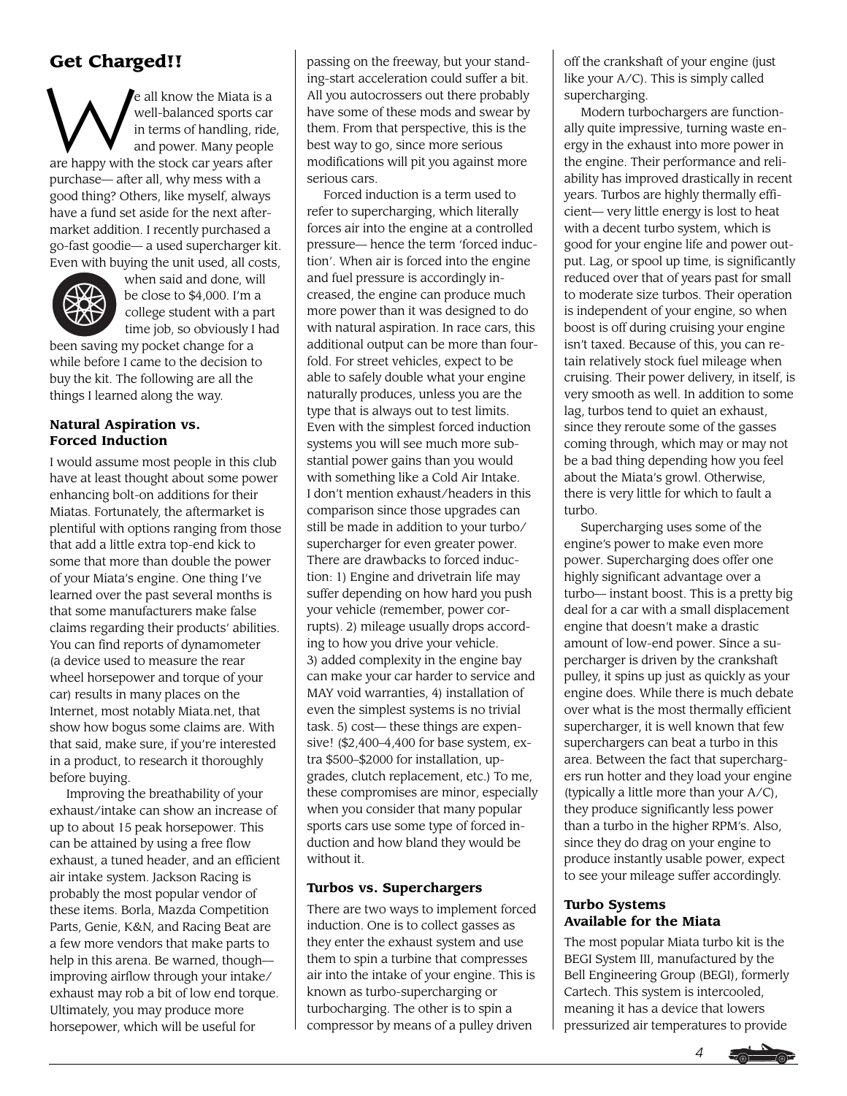# **Get Charged!!**

W e all know the Miata is a well-balanced sports car in terms of handling, ride, and power. Many people are happy with the stock car years after purchase— after all, why mess with a good thing? Others, like myself, always have a fund set aside for the next aftermarket addition. I recently purchased a go-fast goodie— a used supercharger kit. Even with buying the unit used, all costs,



when said and done, will be close to \$4,000. I'm a college student with a part time job, so obviously I had

been saving my pocket change for a while before I came to the decision to buy the kit. The following are all the things I learned along the way.

### **Natural Aspiration vs. Forced Induction**

I would assume most people in this club have at least thought about some power enhancing bolt-on additions for their Miatas. Fortunately, the aftermarket is plentiful with options ranging from those that add a little extra top-end kick to some that more than double the power of your Miata's engine. One thing I've learned over the past several months is that some manufacturers make false claims regarding their products' abilities. You can find reports of dynamometer (a device used to measure the rear wheel horsepower and torque of your car) results in many places on the Internet, most notably Miata.net, that show how bogus some claims are. With that said, make sure, if you're interested in a product, to research it thoroughly before buying.

Improving the breathability of your exhaust/intake can show an increase of up to about 15 peak horsepower. This can be attained by using a free flow exhaust, a tuned header, and an efficient air intake system. Jackson Racing is probably the most popular vendor of these items. Borla, Mazda Competition Parts, Genie, K&N, and Racing Beat are a few more vendors that make parts to help in this arena. Be warned, though improving airflow through your intake/ exhaust may rob a bit of low end torque. Ultimately, you may produce more horsepower, which will be useful for

passing on the freeway, but your standing-start acceleration could suffer a bit. All you autocrossers out there probably have some of these mods and swear by them. From that perspective, this is the best way to go, since more serious modifications will pit you against more serious cars.

Forced induction is a term used to refer to supercharging, which literally forces air into the engine at a controlled pressure— hence the term 'forced induction'. When air is forced into the engine and fuel pressure is accordingly increased, the engine can produce much more power than it was designed to do with natural aspiration. In race cars, this additional output can be more than fourfold. For street vehicles, expect to be able to safely double what your engine naturally produces, unless you are the type that is always out to test limits. Even with the simplest forced induction systems you will see much more substantial power gains than you would with something like a Cold Air Intake. I don't mention exhaust/headers in this comparison since those upgrades can still be made in addition to your turbo/ supercharger for even greater power. There are drawbacks to forced induction: 1) Engine and drivetrain life may suffer depending on how hard you push your vehicle (remember, power corrupts). 2) mileage usually drops according to how you drive your vehicle. 3) added complexity in the engine bay can make your car harder to service and MAY void warranties, 4) installation of even the simplest systems is no trivial task. 5) cost— these things are expensive! (\$2,400–4,400 for base system, extra \$500–\$2000 for installation, upgrades, clutch replacement, etc.) To me, these compromises are minor, especially when you consider that many popular sports cars use some type of forced induction and how bland they would be without it.

### **Turbos vs. Superchargers**

There are two ways to implement forced induction. One is to collect gasses as they enter the exhaust system and use them to spin a turbine that compresses air into the intake of your engine. This is known as turbo-supercharging or turbocharging. The other is to spin a compressor by means of a pulley driven

off the crankshaft of your engine (just like your A/C). This is simply called supercharging.

Modern turbochargers are functionally quite impressive, turning waste energy in the exhaust into more power in the engine. Their performance and reliability has improved drastically in recent years. Turbos are highly thermally efficient— very little energy is lost to heat with a decent turbo system, which is good for your engine life and power output. Lag, or spool up time, is significantly reduced over that of years past for small to moderate size turbos. Their operation is independent of your engine, so when boost is off during cruising your engine isn't taxed. Because of this, you can retain relatively stock fuel mileage when cruising. Their power delivery, in itself, is very smooth as well. In addition to some lag, turbos tend to quiet an exhaust, since they reroute some of the gasses coming through, which may or may not be a bad thing depending how you feel about the Miata's growl. Otherwise, there is very little for which to fault a turbo.

Supercharging uses some of the engine's power to make even more power. Supercharging does offer one highly significant advantage over a turbo— instant boost. This is a pretty big deal for a car with a small displacement engine that doesn't make a drastic amount of low-end power. Since a supercharger is driven by the crankshaft pulley, it spins up just as quickly as your engine does. While there is much debate over what is the most thermally efficient supercharger, it is well known that few superchargers can beat a turbo in this area. Between the fact that superchargers run hotter and they load your engine (typically a little more than your A/C), they produce significantly less power than a turbo in the higher RPM's. Also, since they do drag on your engine to produce instantly usable power, expect to see your mileage suffer accordingly.

### **Turbo Systems Available for the Miata**

The most popular Miata turbo kit is the BEGI System III, manufactured by the Bell Engineering Group (BEGI), formerly Cartech. This system is intercooled, meaning it has a device that lowers pressurized air temperatures to provide

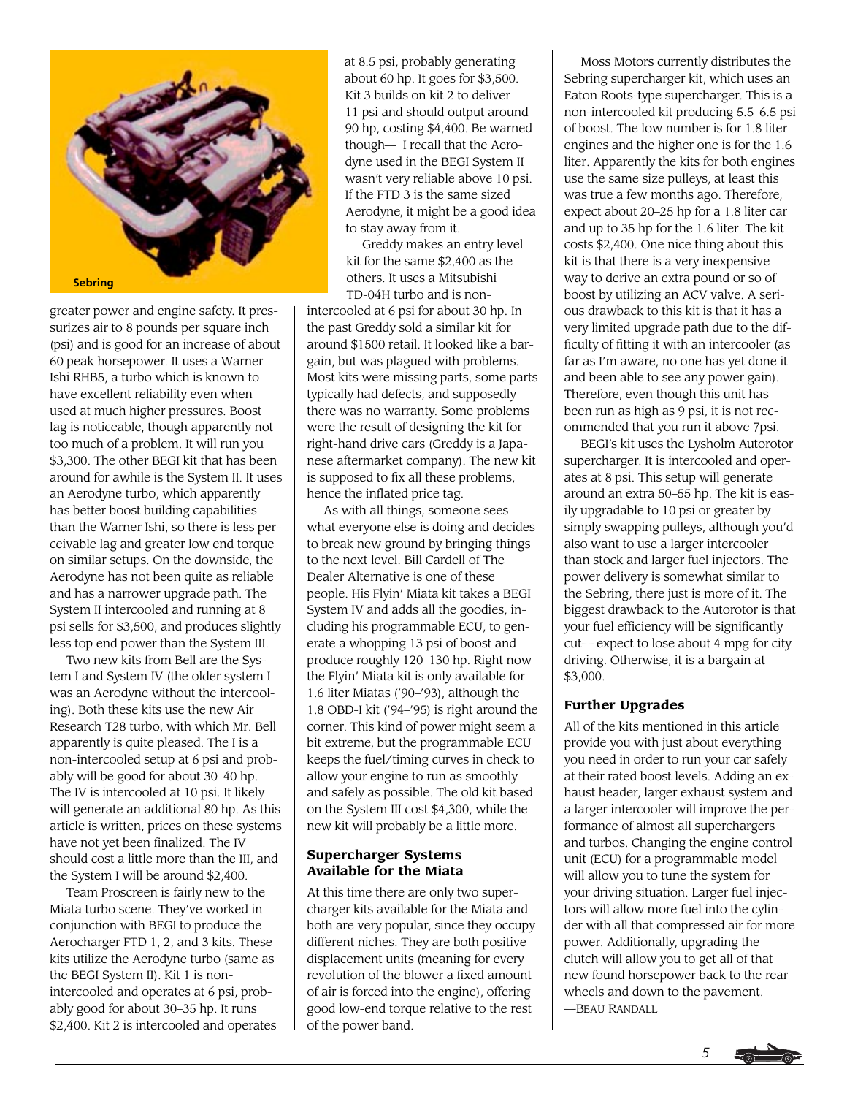

greater power and engine safety. It pressurizes air to 8 pounds per square inch (psi) and is good for an increase of about 60 peak horsepower. It uses a Warner Ishi RHB5, a turbo which is known to have excellent reliability even when used at much higher pressures. Boost lag is noticeable, though apparently not too much of a problem. It will run you \$3,300. The other BEGI kit that has been around for awhile is the System II. It uses an Aerodyne turbo, which apparently has better boost building capabilities than the Warner Ishi, so there is less perceivable lag and greater low end torque on similar setups. On the downside, the Aerodyne has not been quite as reliable and has a narrower upgrade path. The System II intercooled and running at 8 psi sells for \$3,500, and produces slightly less top end power than the System III.

Two new kits from Bell are the System I and System IV (the older system I was an Aerodyne without the intercooling). Both these kits use the new Air Research T28 turbo, with which Mr. Bell apparently is quite pleased. The I is a non-intercooled setup at 6 psi and probably will be good for about 30–40 hp. The IV is intercooled at 10 psi. It likely will generate an additional 80 hp. As this article is written, prices on these systems have not yet been finalized. The IV should cost a little more than the III, and the System I will be around \$2,400.

Team Proscreen is fairly new to the Miata turbo scene. They've worked in conjunction with BEGI to produce the Aerocharger FTD 1, 2, and 3 kits. These kits utilize the Aerodyne turbo (same as the BEGI System II). Kit 1 is nonintercooled and operates at 6 psi, probably good for about 30–35 hp. It runs \$2,400. Kit 2 is intercooled and operates at 8.5 psi, probably generating about 60 hp. It goes for \$3,500. Kit 3 builds on kit 2 to deliver 11 psi and should output around 90 hp, costing \$4,400. Be warned though— I recall that the Aerodyne used in the BEGI System II wasn't very reliable above 10 psi. If the FTD 3 is the same sized Aerodyne, it might be a good idea to stay away from it.

Greddy makes an entry level kit for the same \$2,400 as the others. It uses a Mitsubishi TD-04H turbo and is non-

intercooled at 6 psi for about 30 hp. In the past Greddy sold a similar kit for around \$1500 retail. It looked like a bargain, but was plagued with problems. Most kits were missing parts, some parts typically had defects, and supposedly there was no warranty. Some problems were the result of designing the kit for right-hand drive cars (Greddy is a Japanese aftermarket company). The new kit is supposed to fix all these problems, hence the inflated price tag.

As with all things, someone sees what everyone else is doing and decides to break new ground by bringing things to the next level. Bill Cardell of The Dealer Alternative is one of these people. His Flyin' Miata kit takes a BEGI System IV and adds all the goodies, including his programmable ECU, to generate a whopping 13 psi of boost and produce roughly 120–130 hp. Right now the Flyin' Miata kit is only available for 1.6 liter Miatas ('90–'93), although the 1.8 OBD-I kit ('94–'95) is right around the corner. This kind of power might seem a bit extreme, but the programmable ECU keeps the fuel/timing curves in check to allow your engine to run as smoothly and safely as possible. The old kit based on the System III cost \$4,300, while the new kit will probably be a little more.

### **Supercharger Systems Available for the Miata**

At this time there are only two supercharger kits available for the Miata and both are very popular, since they occupy different niches. They are both positive displacement units (meaning for every revolution of the blower a fixed amount of air is forced into the engine), offering good low-end torque relative to the rest of the power band.

Moss Motors currently distributes the Sebring supercharger kit, which uses an Eaton Roots-type supercharger. This is a non-intercooled kit producing 5.5–6.5 psi of boost. The low number is for 1.8 liter engines and the higher one is for the 1.6 liter. Apparently the kits for both engines use the same size pulleys, at least this was true a few months ago. Therefore, expect about 20–25 hp for a 1.8 liter car and up to 35 hp for the 1.6 liter. The kit costs \$2,400. One nice thing about this kit is that there is a very inexpensive way to derive an extra pound or so of boost by utilizing an ACV valve. A serious drawback to this kit is that it has a very limited upgrade path due to the difficulty of fitting it with an intercooler (as far as I'm aware, no one has yet done it and been able to see any power gain). Therefore, even though this unit has been run as high as 9 psi, it is not recommended that you run it above 7psi.

BEGI's kit uses the Lysholm Autorotor supercharger. It is intercooled and operates at 8 psi. This setup will generate around an extra 50–55 hp. The kit is easily upgradable to 10 psi or greater by simply swapping pulleys, although you'd also want to use a larger intercooler than stock and larger fuel injectors. The power delivery is somewhat similar to the Sebring, there just is more of it. The biggest drawback to the Autorotor is that your fuel efficiency will be significantly cut— expect to lose about 4 mpg for city driving. Otherwise, it is a bargain at \$3,000.

### **Further Upgrades**

All of the kits mentioned in this article provide you with just about everything you need in order to run your car safely at their rated boost levels. Adding an exhaust header, larger exhaust system and a larger intercooler will improve the performance of almost all superchargers and turbos. Changing the engine control unit (ECU) for a programmable model will allow you to tune the system for your driving situation. Larger fuel injectors will allow more fuel into the cylinder with all that compressed air for more power. Additionally, upgrading the clutch will allow you to get all of that new found horsepower back to the rear wheels and down to the pavement. —BEAU RANDALL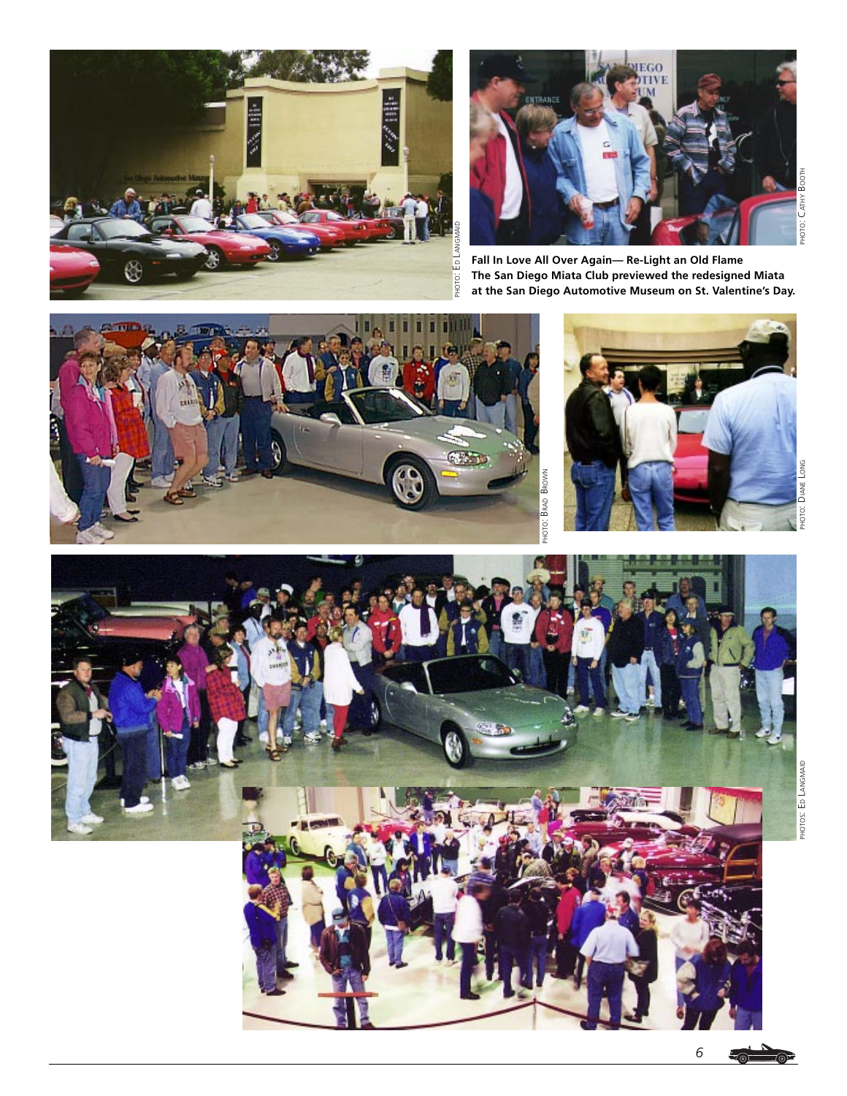



**Fall In Love All Over Again— Re-Light an Old Flame The San Diego Miata Club previewed the redesigned Miata at the San Diego Automotive Museum on St. Valentine's Day.**

PHOTO: BRAD BROWN





*6* -<br>- 10년

∠©⊑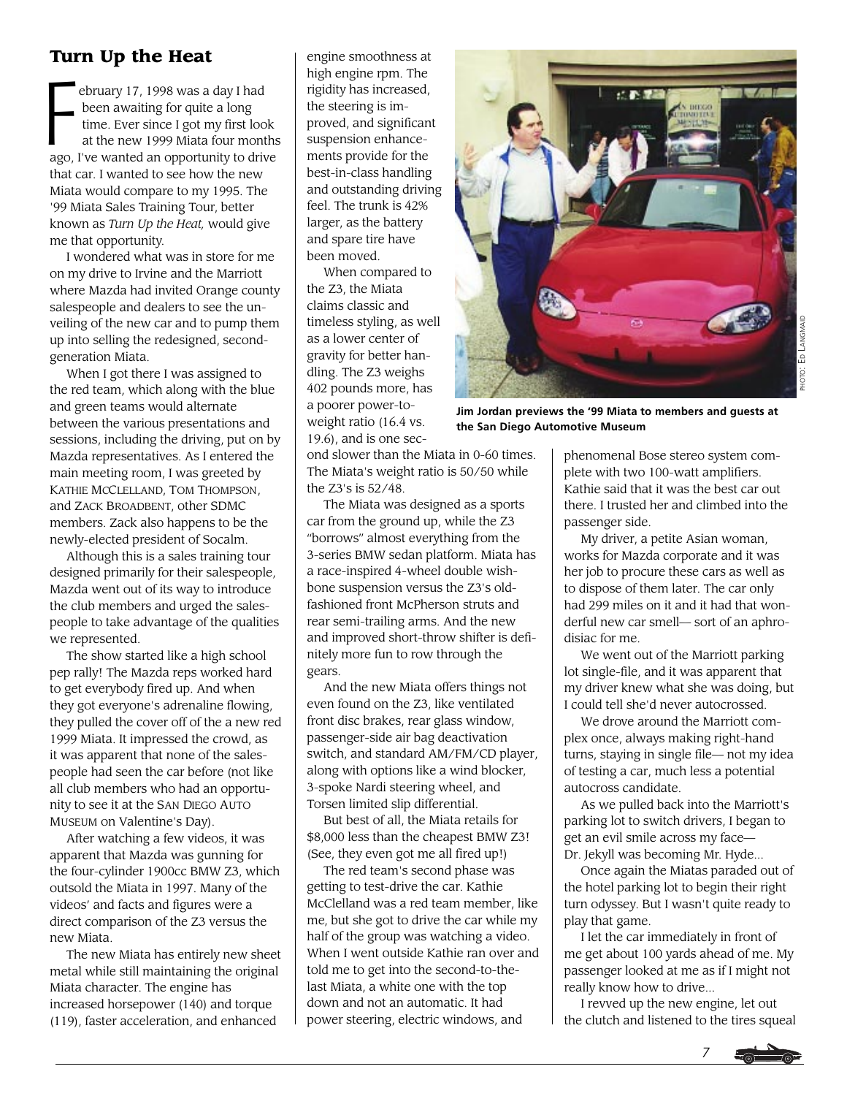# **Turn Up the Heat**

ebruary 17, 1998 was a day I had been awaiting for quite a long time. Ever since I got my first look at the new 1999 Miata four months ago, I've wanted an opportunity to drive that car. I wanted to see how the new Miata would compare to my 1995. The '99 Miata Sales Training Tour, better known as *Turn Up the Heat,* would give me that opportunity.  $F$ 

I wondered what was in store for me on my drive to Irvine and the Marriott where Mazda had invited Orange county salespeople and dealers to see the unveiling of the new car and to pump them up into selling the redesigned, secondgeneration Miata.

When I got there I was assigned to the red team, which along with the blue and green teams would alternate between the various presentations and sessions, including the driving, put on by Mazda representatives. As I entered the main meeting room, I was greeted by KATHIE MCCLELLAND, TOM THOMPSON, and ZACK BROADBENT, other SDMC members. Zack also happens to be the newly-elected president of Socalm.

Although this is a sales training tour designed primarily for their salespeople, Mazda went out of its way to introduce the club members and urged the salespeople to take advantage of the qualities we represented.

The show started like a high school pep rally! The Mazda reps worked hard to get everybody fired up. And when they got everyone's adrenaline flowing, they pulled the cover off of the a new red 1999 Miata. It impressed the crowd, as it was apparent that none of the salespeople had seen the car before (not like all club members who had an opportunity to see it at the SAN DIEGO AUTO MUSEUM on Valentine's Day).

After watching a few videos, it was apparent that Mazda was gunning for the four-cylinder 1900cc BMW Z3, which outsold the Miata in 1997. Many of the videos' and facts and figures were a direct comparison of the Z3 versus the new Miata.

The new Miata has entirely new sheet metal while still maintaining the original Miata character. The engine has increased horsepower (140) and torque (119), faster acceleration, and enhanced

engine smoothness at high engine rpm. The rigidity has increased, the steering is improved, and significant suspension enhancements provide for the best-in-class handling and outstanding driving feel. The trunk is 42% larger, as the battery and spare tire have been moved.

When compared to the Z3, the Miata claims classic and timeless styling, as well as a lower center of gravity for better handling. The Z3 weighs 402 pounds more, has a poorer power-toweight ratio (16.4 vs. 19.6), and is one sec-



**Jim Jordan previews the '99 Miata to members and guests at the San Diego Automotive Museum**

ond slower than the Miata in 0-60 times. The Miata's weight ratio is 50/50 while the Z3's is 52/48.

The Miata was designed as a sports car from the ground up, while the Z3 "borrows" almost everything from the 3-series BMW sedan platform. Miata has a race-inspired 4-wheel double wishbone suspension versus the Z3's oldfashioned front McPherson struts and rear semi-trailing arms. And the new and improved short-throw shifter is definitely more fun to row through the gears.

And the new Miata offers things not even found on the Z3, like ventilated front disc brakes, rear glass window, passenger-side air bag deactivation switch, and standard AM/FM/CD player, along with options like a wind blocker, 3-spoke Nardi steering wheel, and Torsen limited slip differential.

But best of all, the Miata retails for \$8,000 less than the cheapest BMW Z3! (See, they even got me all fired up!)

The red team's second phase was getting to test-drive the car. Kathie McClelland was a red team member, like me, but she got to drive the car while my half of the group was watching a video. When I went outside Kathie ran over and told me to get into the second-to-thelast Miata, a white one with the top down and not an automatic. It had power steering, electric windows, and

phenomenal Bose stereo system complete with two 100-watt amplifiers. Kathie said that it was the best car out there. I trusted her and climbed into the passenger side.

My driver, a petite Asian woman, works for Mazda corporate and it was her job to procure these cars as well as to dispose of them later. The car only had 299 miles on it and it had that wonderful new car smell— sort of an aphrodisiac for me.

We went out of the Marriott parking lot single-file, and it was apparent that my driver knew what she was doing, but I could tell she'd never autocrossed.

We drove around the Marriott complex once, always making right-hand turns, staying in single file— not my idea of testing a car, much less a potential autocross candidate.

As we pulled back into the Marriott's parking lot to switch drivers, I began to get an evil smile across my face— Dr. Jekyll was becoming Mr. Hyde...

Once again the Miatas paraded out of the hotel parking lot to begin their right turn odyssey. But I wasn't quite ready to play that game.

I let the car immediately in front of me get about 100 yards ahead of me. My passenger looked at me as if I might not really know how to drive...

I revved up the new engine, let out the clutch and listened to the tires squeal

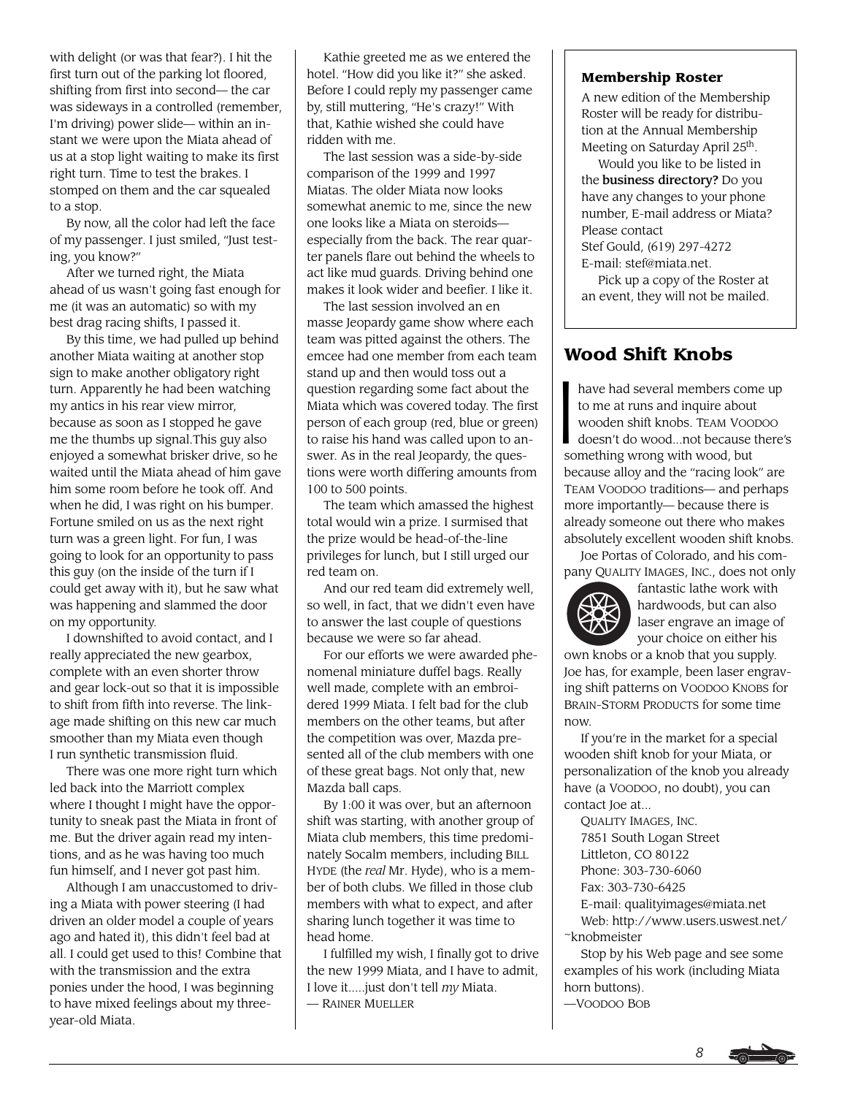with delight (or was that fear?). I hit the first turn out of the parking lot floored, shifting from first into second— the car was sideways in a controlled (remember, I'm driving) power slide— within an instant we were upon the Miata ahead of us at a stop light waiting to make its first right turn. Time to test the brakes. I stomped on them and the car squealed to a stop.

By now, all the color had left the face of my passenger. I just smiled, "Just testing, you know?"

After we turned right, the Miata ahead of us wasn't going fast enough for me (it was an automatic) so with my best drag racing shifts, I passed it.

By this time, we had pulled up behind another Miata waiting at another stop sign to make another obligatory right turn. Apparently he had been watching my antics in his rear view mirror, because as soon as I stopped he gave me the thumbs up signal.This guy also enjoyed a somewhat brisker drive, so he waited until the Miata ahead of him gave him some room before he took off. And when he did, I was right on his bumper. Fortune smiled on us as the next right turn was a green light. For fun, I was going to look for an opportunity to pass this guy (on the inside of the turn if I could get away with it), but he saw what was happening and slammed the door on my opportunity.

I downshifted to avoid contact, and I really appreciated the new gearbox, complete with an even shorter throw and gear lock-out so that it is impossible to shift from fifth into reverse. The linkage made shifting on this new car much smoother than my Miata even though I run synthetic transmission fluid.

There was one more right turn which led back into the Marriott complex where I thought I might have the opportunity to sneak past the Miata in front of me. But the driver again read my intentions, and as he was having too much fun himself, and I never got past him.

Although I am unaccustomed to driving a Miata with power steering (I had driven an older model a couple of years ago and hated it), this didn't feel bad at all. I could get used to this! Combine that with the transmission and the extra ponies under the hood, I was beginning to have mixed feelings about my threeyear-old Miata.

Kathie greeted me as we entered the hotel. "How did you like it?" she asked. Before I could reply my passenger came by, still muttering, "He's crazy!" With that, Kathie wished she could have ridden with me.

The last session was a side-by-side comparison of the 1999 and 1997 Miatas. The older Miata now looks somewhat anemic to me, since the new one looks like a Miata on steroids especially from the back. The rear quarter panels flare out behind the wheels to act like mud guards. Driving behind one makes it look wider and beefier. I like it.

The last session involved an en masse Jeopardy game show where each team was pitted against the others. The emcee had one member from each team stand up and then would toss out a question regarding some fact about the Miata which was covered today. The first person of each group (red, blue or green) to raise his hand was called upon to answer. As in the real Jeopardy, the questions were worth differing amounts from 100 to 500 points.

The team which amassed the highest total would win a prize. I surmised that the prize would be head-of-the-line privileges for lunch, but I still urged our red team on.

And our red team did extremely well, so well, in fact, that we didn't even have to answer the last couple of questions because we were so far ahead.

For our efforts we were awarded phenomenal miniature duffel bags. Really well made, complete with an embroidered 1999 Miata. I felt bad for the club members on the other teams, but after the competition was over, Mazda presented all of the club members with one of these great bags. Not only that, new Mazda ball caps.

By 1:00 it was over, but an afternoon shift was starting, with another group of Miata club members, this time predominately Socalm members, including BILL HYDE (the *real* Mr. Hyde), who is a member of both clubs. We filled in those club members with what to expect, and after sharing lunch together it was time to head home.

I fulfilled my wish, I finally got to drive the new 1999 Miata, and I have to admit, I love it.....just don't tell *my* Miata. — RAINER MUELLER

### **Membership Roster**

A new edition of the Membership Roster will be ready for distribution at the Annual Membership Meeting on Saturday April 25th.

Would you like to be listed in the business directory? Do you have any changes to your phone number, E-mail address or Miata? Please contact

Stef Gould, (619) 297-4272

E-mail: stef@miata.net.

Pick up a copy of the Roster at an event, they will not be mailed.

# **Wood Shift Knobs**

I have had several members come up to me at runs and inquire about wooden shift knobs. TEAM VOODOO doesn't do wood...not because there's something wrong with wood, but because alloy and the "racing look" are TEAM VOODOO traditions— and perhaps more importantly— because there is already someone out there who makes absolutely excellent wooden shift knobs.

Joe Portas of Colorado, and his company QUALITY IMAGES, INC., does not only



fantastic lathe work with hardwoods, but can also laser engrave an image of your choice on either his

own knobs or a knob that you supply. Joe has, for example, been laser engraving shift patterns on VOODOO KNOBS for BRAIN-STORM PRODUCTS for some time now.

If you're in the market for a special wooden shift knob for your Miata, or personalization of the knob you already have (a VOODOO, no doubt), you can contact Joe at...

QUALITY IMAGES, INC.

7851 South Logan Street

Littleton, CO 80122

Phone: 303-730-6060

Fax: 303-730-6425

E-mail: qualityimages@miata.net

Web: http://www.users.uswest.net/ ~knobmeister

Stop by his Web page and see some examples of his work (including Miata horn buttons).

—VOODOO BOB

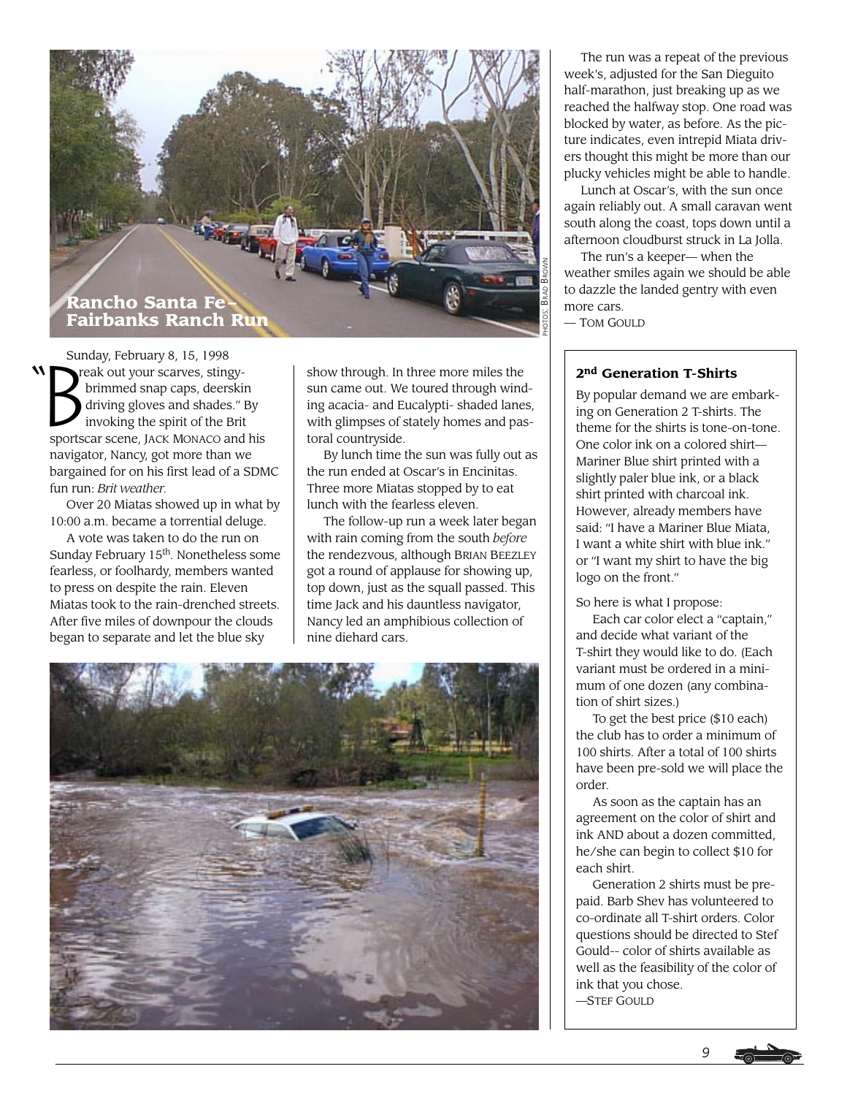

"  $\sum_{i=1}^{n}$ Sunday, February 8, 15, 1998 reak out your scarves, stingy brimmed snap caps, deerskin driving gloves and shades." By invoking the spirit of the Brit sportscar scene, JACK MONACO and his navigator, Nancy, got more than we bargained for on his first lead of a SDMC fun run: *Brit weather.*

Over 20 Miatas showed up in what by 10:00 a.m. became a torrential deluge.

A vote was taken to do the run on Sunday February 15<sup>th</sup>. Nonetheless some fearless, or foolhardy, members wanted to press on despite the rain. Eleven Miatas took to the rain-drenched streets. After five miles of downpour the clouds began to separate and let the blue sky

show through. In three more miles the sun came out. We toured through winding acacia- and Eucalypti- shaded lanes, with glimpses of stately homes and pastoral countryside.

By lunch time the sun was fully out as the run ended at Oscar's in Encinitas. Three more Miatas stopped by to eat lunch with the fearless eleven.

The follow-up run a week later began with rain coming from the south *before* the rendezvous, although BRIAN BEEZLEY got a round of applause for showing up, top down, just as the squall passed. This time Jack and his dauntless navigator, Nancy led an amphibious collection of nine diehard cars.



The run was a repeat of the previous week's, adjusted for the San Dieguito half-marathon, just breaking up as we reached the halfway stop. One road was blocked by water, as before. As the picture indicates, even intrepid Miata drivers thought this might be more than our plucky vehicles might be able to handle.

Lunch at Oscar's, with the sun once again reliably out. A small caravan went south along the coast, tops down until a afternoon cloudburst struck in La Jolla.

The run's a keeper— when the weather smiles again we should be able to dazzle the landed gentry with even more cars.

— TOM GOULD

### **2nd Generation T-Shirts**

By popular demand we are embarking on Generation 2 T-shirts. The theme for the shirts is tone-on-tone. One color ink on a colored shirt— Mariner Blue shirt printed with a slightly paler blue ink, or a black shirt printed with charcoal ink. However, already members have said: "I have a Mariner Blue Miata, I want a white shirt with blue ink." or "I want my shirt to have the big logo on the front."

So here is what I propose:

Each car color elect a "captain," and decide what variant of the T-shirt they would like to do. (Each variant must be ordered in a minimum of one dozen (any combination of shirt sizes.)

To get the best price (\$10 each) the club has to order a minimum of 100 shirts. After a total of 100 shirts have been pre-sold we will place the order.

As soon as the captain has an agreement on the color of shirt and ink AND about a dozen committed, he/she can begin to collect \$10 for each shirt.

Generation 2 shirts must be prepaid. Barb Shev has volunteered to co-ordinate all T-shirt orders. Color questions should be directed to Stef Gould-- color of shirts available as well as the feasibility of the color of ink that you chose.

—STEF GOULD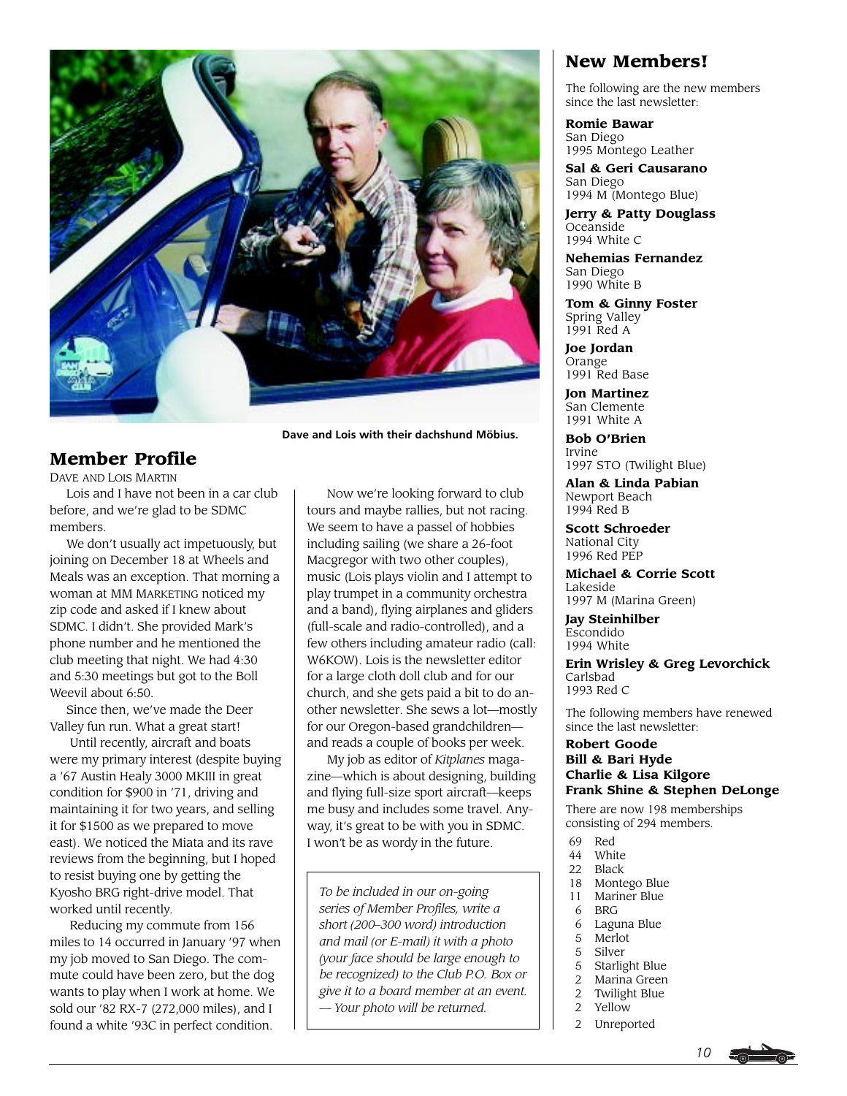

# **Member Profile**

DAVE AND LOIS MARTIN

Lois and I have not been in a car club before, and we're glad to be SDMC members.

We don't usually act impetuously, but joining on December 18 at Wheels and Meals was an exception. That morning a woman at MM MARKETING noticed my zip code and asked if I knew about SDMC. I didn't. She provided Mark's phone number and he mentioned the club meeting that night. We had 4:30 and 5:30 meetings but got to the Boll Weevil about 6:50.

Since then, we've made the Deer Valley fun run. What a great start!

 Until recently, aircraft and boats were my primary interest (despite buying a '67 Austin Healy 3000 MKIII in great condition for \$900 in '71, driving and maintaining it for two years, and selling it for \$1500 as we prepared to move east). We noticed the Miata and its rave reviews from the beginning, but I hoped to resist buying one by getting the Kyosho BRG right-drive model. That worked until recently.

 Reducing my commute from 156 miles to 14 occurred in January '97 when my job moved to San Diego. The commute could have been zero, but the dog wants to play when I work at home. We sold our '82 RX-7 (272,000 miles), and I found a white '93C in perfect condition.

 Now we're looking forward to club tours and maybe rallies, but not racing. We seem to have a passel of hobbies including sailing (we share a 26-foot Macgregor with two other couples), music (Lois plays violin and I attempt to play trumpet in a community orchestra and a band), flying airplanes and gliders (full-scale and radio-controlled), and a few others including amateur radio (call: W6KOW). Lois is the newsletter editor for a large cloth doll club and for our church, and she gets paid a bit to do another newsletter. She sews a lot—mostly for our Oregon-based grandchildren and reads a couple of books per week.

 My job as editor of *Kitplanes* magazine—which is about designing, building and flying full-size sport aircraft—keeps me busy and includes some travel. Anyway, it's great to be with you in SDMC. I won't be as wordy in the future.

*To be included in our on-going series of Member Profiles, write a short (200–300 word) introduction and mail (or E-mail) it with a photo (your face should be large enough to be recognized) to the Club P.O. Box or give it to a board member at an event. — Your photo will be returned.*

# **New Members!**

The following are the new members since the last newsletter:

**Romie Bawar** San Diego 1995 Montego Leather

**Sal & Geri Causarano** San Diego 1994 M (Montego Blue)

**Jerry & Patty Douglass Oceanside** 1994 White C

**Nehemias Fernandez** San Diego 1990 White B

**Tom & Ginny Foster** Spring Valley 1991 Red A

**Joe Jordan** Orange 1991 Red Base

**Jon Martinez** San Clemente 1991 White A

**Bob O'Brien** Irvine 1997 STO (Twilight Blue)

**Alan & Linda Pabian** Newport Beach 1994 Red B

**Scott Schroeder** National City 1996 Red PEP

**Michael & Corrie Scott** Lakeside 1997 M (Marina Green)

**Jay Steinhilber** Escondido 1994 White

**Erin Wrisley & Greg Levorchick** Carlsbad 1993 Red C

The following members have renewed since the last newsletter:

### **Robert Goode Bill & Bari Hyde Charlie & Lisa Kilgore Frank Shine & Stephen DeLonge**

There are now 198 memberships consisting of 294 members.

- 69 Red
- 44 White<br>22 Black
- Black
- 18 Montego Blue<br>11 Mariner Blue
- 1 Mariner Blue<br>6 BRG
- **BRG**
- 6 Laguna Blue
- 5 Merlot
- 5 Silver<br>5 Starlig
- 5 Starlight Blue
- 2 Marina Green<br>2 Twilight Blue
- 2 Twilight Blue<br>2 Yellow **Yellow**
- 
- 2 Unreported